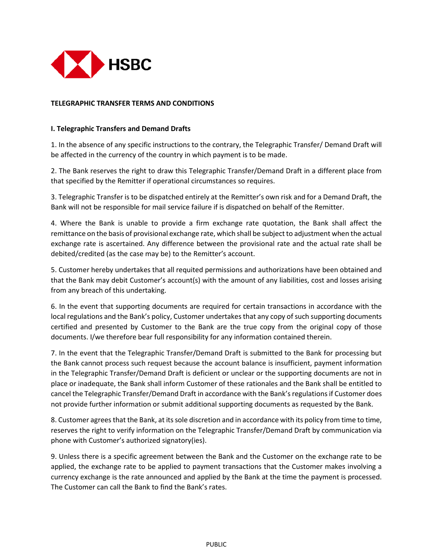

## **TELEGRAPHIC TRANSFER TERMS AND CONDITIONS**

## **I. Telegraphic Transfers and Demand Drafts**

1. In the absence of any specific instructions to the contrary, the Telegraphic Transfer/ Demand Draft will be affected in the currency of the country in which payment is to be made.

2. The Bank reserves the right to draw this Telegraphic Transfer/Demand Draft in a different place from that specified by the Remitter if operational circumstances so requires.

3. Telegraphic Transfer is to be dispatched entirely at the Remitter's own risk and for a Demand Draft, the Bank will not be responsible for mail service failure if is dispatched on behalf of the Remitter.

4. Where the Bank is unable to provide a firm exchange rate quotation, the Bank shall affect the remittance on the basis of provisional exchange rate, which shall be subject to adjustment when the actual exchange rate is ascertained. Any difference between the provisional rate and the actual rate shall be debited/credited (as the case may be) to the Remitter's account.

5. Customer hereby undertakes that all requited permissions and authorizations have been obtained and that the Bank may debit Customer's account(s) with the amount of any liabilities, cost and losses arising from any breach of this undertaking.

6. In the event that supporting documents are required for certain transactions in accordance with the local regulations and the Bank's policy, Customer undertakes that any copy of such supporting documents certified and presented by Customer to the Bank are the true copy from the original copy of those documents. I/we therefore bear full responsibility for any information contained therein.

7. In the event that the Telegraphic Transfer/Demand Draft is submitted to the Bank for processing but the Bank cannot process such request because the account balance is insufficient, payment information in the Telegraphic Transfer/Demand Draft is deficient or unclear or the supporting documents are not in place or inadequate, the Bank shall inform Customer of these rationales and the Bank shall be entitled to cancel the Telegraphic Transfer/Demand Draft in accordance with the Bank's regulations if Customer does not provide further information or submit additional supporting documents as requested by the Bank.

8. Customer agrees that the Bank, at its sole discretion and in accordance with its policy from time to time, reserves the right to verify information on the Telegraphic Transfer/Demand Draft by communication via phone with Customer's authorized signatory(ies).

9. Unless there is a specific agreement between the Bank and the Customer on the exchange rate to be applied, the exchange rate to be applied to payment transactions that the Customer makes involving a currency exchange is the rate announced and applied by the Bank at the time the payment is processed. The Customer can call the Bank to find the Bank's rates.